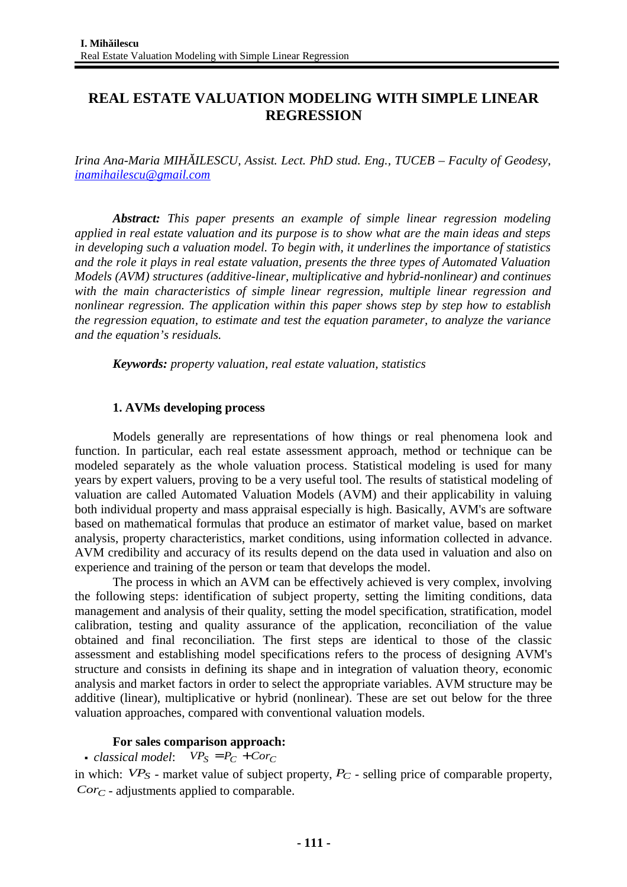# **REAL ESTATE VALUATION MODELING WITH SIMPLE LINEAR REGRESSION**

*Irina Ana-Maria MIHĂILESCU, Assist. Lect. PhD stud. Eng., TUCEB – Faculty of Geodesy, [inamihailescu@gmail.com](mailto:inamihailescu@gmail.com)*

*Abstract: This paper presents an example of simple linear regression modeling applied in real estate valuation and its purpose is to show what are the main ideas and steps in developing such a valuation model. To begin with, it underlines the importance of statistics and the role it plays in real estate valuation, presents the three types of Automated Valuation Models (AVM) structures (additive-linear, multiplicative and hybrid-nonlinear) and continues with the main characteristics of simple linear regression, multiple linear regression and nonlinear regression. The application within this paper shows step by step how to establish the regression equation, to estimate and test the equation parameter, to analyze the variance and the equation's residuals.* 

*Keywords: property valuation, real estate valuation, statistics*

#### **1. AVMs developing process**

Models generally are representations of how things or real phenomena look and function. In particular, each real estate assessment approach, method or technique can be modeled separately as the whole valuation process. Statistical modeling is used for many years by expert valuers, proving to be a very useful tool. The results of statistical modeling of valuation are called Automated Valuation Models (AVM) and their applicability in valuing both individual property and mass appraisal especially is high. Basically, AVM's are software based on mathematical formulas that produce an estimator of market value, based on market analysis, property characteristics, market conditions, using information collected in advance. AVM credibility and accuracy of its results depend on the data used in valuation and also on experience and training of the person or team that develops the model.

The process in which an AVM can be effectively achieved is very complex, involving the following steps: identification of subject property, setting the limiting conditions, data management and analysis of their quality, setting the model specification, stratification, model calibration, testing and quality assurance of the application, reconciliation of the value obtained and final reconciliation. The first steps are identical to those of the classic assessment and establishing model specifications refers to the process of designing AVM's structure and consists in defining its shape and in integration of valuation theory, economic analysis and market factors in order to select the appropriate variables. AVM structure may be additive (linear), multiplicative or hybrid (nonlinear). These are set out below for the three valuation approaches, compared with conventional valuation models.

## **For sales comparison approach:**

*classical model:*  $VP_S = P_C + Cor_C$ 

in which:  $VP_S$  - market value of subject property,  $P_C$  - selling price of comparable property,  $Cor<sub>C</sub>$  - adjustments applied to comparable.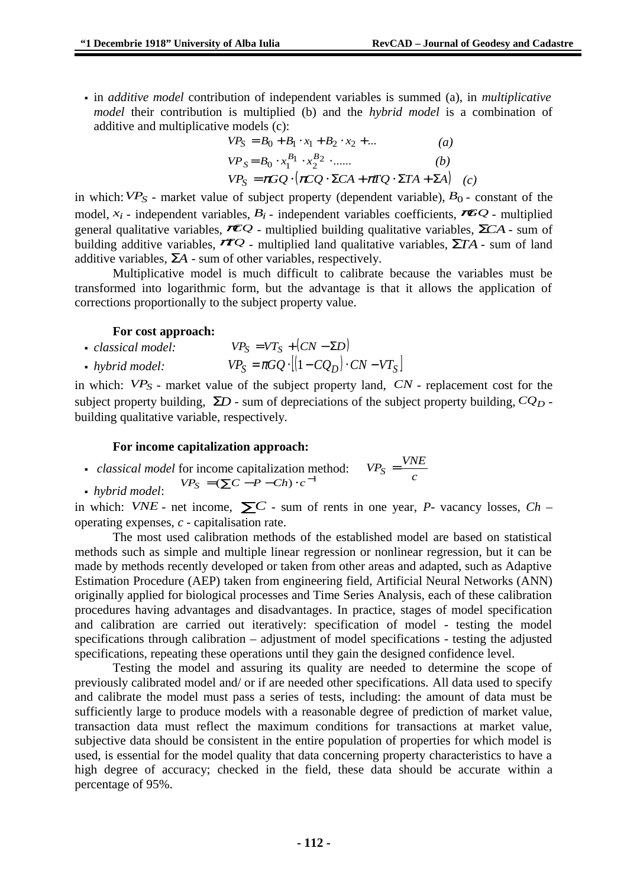in *additive model* contribution of independent variables is summed (a), in *multiplicative model* their contribution is multiplied (b) and the *hybrid model* is a combination of additive and multiplicative models (c):

$$
VP_S = B_0 + B_1 \cdot x_1 + B_2 \cdot x_2 + ... \tag{a}
$$
  
\n
$$
VP_S = B_0 \cdot x_1^{B_1} \cdot x_2^{B_2} \cdot ... \tag{b}
$$
  
\n
$$
VP_S = \pi C \cdot ( \pi C \cdot \Sigma C A + \pi T C \cdot \Sigma T A + \Sigma A ) \tag{c}
$$

 $VP_S = \pi GQ \cdot [\pi CQ \cdot \Sigma CA + \pi TQ \cdot \Sigma TA + \Sigma A]$  *(c)* 

in which:  $VP<sub>S</sub>$  - market value of subject property (dependent variable),  $B<sub>0</sub>$  - constant of the model,  $x_i$  - independent variables,  $B_i$  - independent variables coefficients,  $\mathcal{F}Q$  - multiplied general qualitative variables,π*CQ* - multiplied building qualitative variables, Σ*CA* - sum of building additive variables,  $\vec{\pi}_Q$  - multiplied land qualitative variables,  $\Sigma T A$  - sum of land additive variables, Σ*A* - sum of other variables, respectively.

Multiplicative model is much difficult to calibrate because the variables must be transformed into logarithmic form, but the advantage is that it allows the application of corrections proportionally to the subject property value.

## **For cost approach:**

*classical model:*  $VP_S = VT_S + (CN - \Sigma D)$ **•**  $h\nu$ *hybrid model:*  $VP_S = \pi GQ \cdot [(1 - CO_D) \cdot CN - VT_S]$ 

in which: *VP<sup>S</sup>* - market value of the subject property land, *CN* - replacement cost for the subject property building, Σ*D* - sum of depreciations of the subject property building, *CQ<sup>D</sup>* building qualitative variable, respectively.

## **For income capitalization approach:**

- *classical model* for income capitalization method:  $VP_S = \frac{VNE}{c}$
- *hybrid model*:  $VP_S = (\sum C - P - Ch) \cdot c^{-1}$

in which: *VNE* - net income,  $\Sigma C$  - sum of rents in one year, *P*- vacancy losses, *Ch* – operating expenses, *c* - capitalisation rate.

The most used calibration methods of the established model are based on statistical methods such as simple and multiple linear regression or nonlinear regression, but it can be made by methods recently developed or taken from other areas and adapted, such as Adaptive Estimation Procedure (AEP) taken from engineering field, Artificial Neural Networks (ANN) originally applied for biological processes and Time Series Analysis, each of these calibration procedures having advantages and disadvantages. In practice, stages of model specification and calibration are carried out iteratively: specification of model - testing the model specifications through calibration – adjustment of model specifications - testing the adjusted specifications, repeating these operations until they gain the designed confidence level.

Testing the model and assuring its quality are needed to determine the scope of previously calibrated model and/ or if are needed other specifications. All data used to specify and calibrate the model must pass a series of tests, including: the amount of data must be sufficiently large to produce models with a reasonable degree of prediction of market value, transaction data must reflect the maximum conditions for transactions at market value, subjective data should be consistent in the entire population of properties for which model is used, is essential for the model quality that data concerning property characteristics to have a high degree of accuracy; checked in the field, these data should be accurate within a percentage of 95%.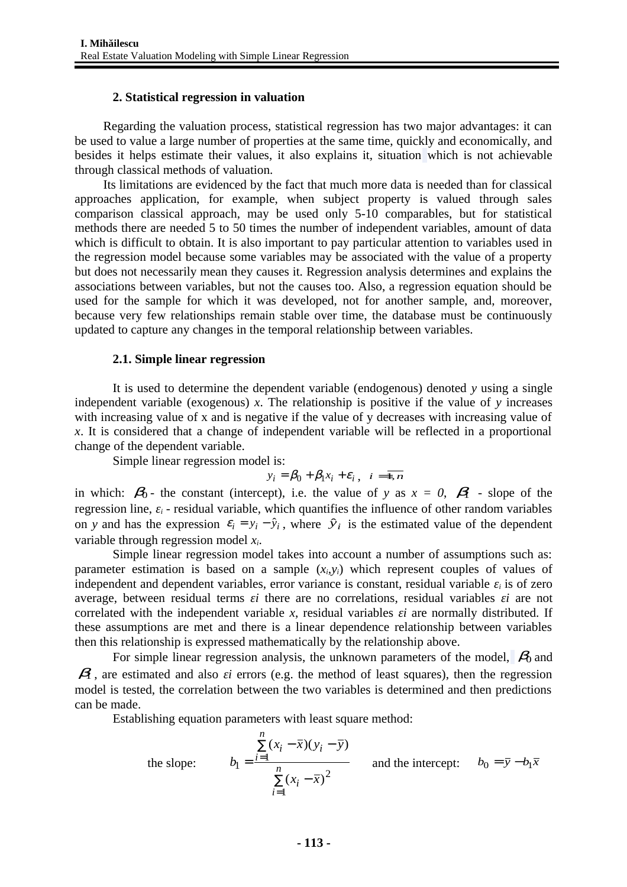#### **2. Statistical regression in valuation**

Regarding the valuation process, statistical regression has two major advantages: it can be used to value a large number of properties at the same time, quickly and economically, and besides it helps estimate their values, it also explains it, situation which is not achievable through classical methods of valuation.

Its limitations are evidenced by the fact that much more data is needed than for classical approaches application, for example, when subject property is valued through sales comparison classical approach, may be used only 5-10 comparables, but for statistical methods there are needed 5 to 50 times the number of independent variables, amount of data which is difficult to obtain. It is also important to pay particular attention to variables used in the regression model because some variables may be associated with the value of a property but does not necessarily mean they causes it. Regression analysis determines and explains the associations between variables, but not the causes too. Also, a regression equation should be used for the sample for which it was developed, not for another sample, and, moreover, because very few relationships remain stable over time, the database must be continuously updated to capture any changes in the temporal relationship between variables.

#### **2.1. Simple linear regression**

It is used to determine the dependent variable (endogenous) denoted *y* using a single independent variable (exogenous) *x*. The relationship is positive if the value of *y* increases with increasing value of x and is negative if the value of y decreases with increasing value of *x*. It is considered that a change of independent variable will be reflected in a proportional change of the dependent variable.

Simple linear regression model is:

$$
y_i = \beta_0 + \beta_1 x_i + \varepsilon_i, \quad i = \overline{1, n}
$$

in which:  $\beta_0$  - the constant (intercept), i.e. the value of *y* as  $x = 0$ ,  $\beta_1$  - slope of the regression line,  $\varepsilon_i$  - residual variable, which quantifies the influence of other random variables on *y* and has the expression  $\varepsilon_i = y_i - \hat{y}_i$ , where  $\hat{y}_i$  is the estimated value of the dependent variable through regression model *xi*.

Simple linear regression model takes into account a number of assumptions such as: parameter estimation is based on a sample  $(x_i, y_i)$  which represent couples of values of independent and dependent variables, error variance is constant, residual variable *εi* is of zero average, between residual terms *εi* there are no correlations, residual variables *εi* are not correlated with the independent variable *x*, residual variables *εi* are normally distributed. If these assumptions are met and there is a linear dependence relationship between variables then this relationship is expressed mathematically by the relationship above.

For simple linear regression analysis, the unknown parameters of the model,  $\beta_0$  and  $\beta$ , are estimated and also *εi* errors (e.g. the method of least squares), then the regression model is tested, the correlation between the two variables is determined and then predictions can be made.

Establishing equation parameters with least square method:

the slope: 
$$
b_1 = \frac{\sum_{i=1}^{n} (x_i - \overline{x})(y_i - \overline{y})}{\sum_{i=1}^{n} (x_i - \overline{x})^2}
$$
 and the intercept:  $b_0 = \overline{y} - b_1 \overline{x}$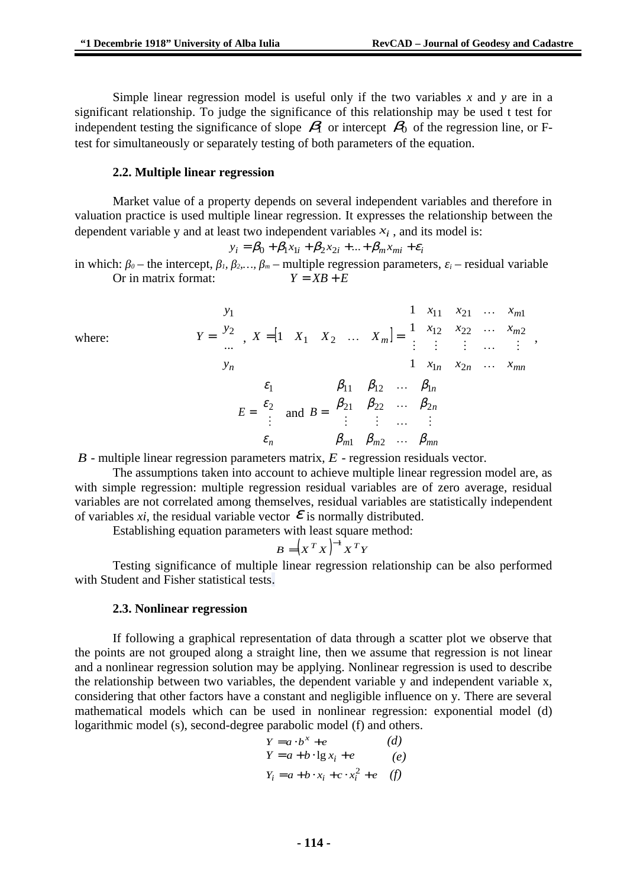Simple linear regression model is useful only if the two variables *x* and *y* are in a significant relationship. To judge the significance of this relationship may be used t test for independent testing the significance of slope  $\beta_1$  or intercept  $\beta_0$  of the regression line, or Ftest for simultaneously or separately testing of both parameters of the equation.

#### **2.2. Multiple linear regression**

Market value of a property depends on several independent variables and therefore in valuation practice is used multiple linear regression. It expresses the relationship between the dependent variable y and at least two independent variables  $x_i$ , and its model is:

$$
y_i = \beta_0 + \beta_1 x_{1i} + \beta_2 x_{2i} + \dots + \beta_m x_{mi} + \varepsilon_i
$$

in which:  $β$ <sup>*0*</sup> – the intercept,  $β$ <sub>*1</sub>*,  $β$ <sub>2</sub>*,...*,  $β$ <sup>*m*</sup> – multiple regression parameters,  $ε$ <sup>*i*</sup> – residual variable</sub> Or in matrix format:  $Y = XB + E$ 

where:  
\n
$$
Y = \begin{bmatrix} y_{1} \\ y_{2} \\ \dots \\ y_{n} \end{bmatrix}, X = \begin{bmatrix} 1 & X_{1} & X_{2} & \dots & X_{m} \end{bmatrix} = \begin{bmatrix} 1 & x_{11} & x_{21} & \dots & x_{m1} \\ 1 & x_{12} & x_{22} & \dots & x_{m2} \\ \vdots & \vdots & \vdots & \dots & \vdots \\ 1 & x_{1n} & x_{2n} & \dots & x_{mn} \end{bmatrix},
$$
\n
$$
E = \begin{bmatrix} \varepsilon_{1} \\ \varepsilon_{2} \\ \vdots \\ \varepsilon_{n} \end{bmatrix} \text{ and } B = \begin{bmatrix} \beta_{11} & \beta_{12} & \dots & \beta_{1n} \\ \beta_{21} & \beta_{22} & \dots & \beta_{2n} \\ \vdots & \vdots & \dots & \vdots \\ \beta_{m1} & \beta_{m2} & \dots & \beta_{mn} \end{bmatrix}
$$

*B* - multiple linear regression parameters matrix, *E* - regression residuals vector.

The assumptions taken into account to achieve multiple linear regression model are, as with simple regression: multiple regression residual variables are of zero average, residual variables are not correlated among themselves, residual variables are statistically independent of variables *xi*, the residual variable vector  $\mathcal E$  is normally distributed.

Establishing equation parameters with least square method:

$$
B = (X^T X)^{-1} X^T Y
$$

Testing significance of multiple linear regression relationship can be also performed with Student and Fisher statistical tests.

#### **2.3. Nonlinear regression**

If following a graphical representation of data through a scatter plot we observe that the points are not grouped along a straight line, then we assume that regression is not linear and a nonlinear regression solution may be applying. Nonlinear regression is used to describe the relationship between two variables, the dependent variable y and independent variable x, considering that other factors have a constant and negligible influence on y. There are several mathematical models which can be used in nonlinear regression: exponential model (d) logarithmic model (s), second-degree parabolic model (f) and others.

$$
Y = a \cdot b^{x} + e
$$
 (d)  
\n
$$
Y = a + b \cdot \lg x_{i} + e
$$
 (e)  
\n
$$
Y_{i} = a + b \cdot x_{i} + c \cdot x_{i}^{2} + e
$$
 (f)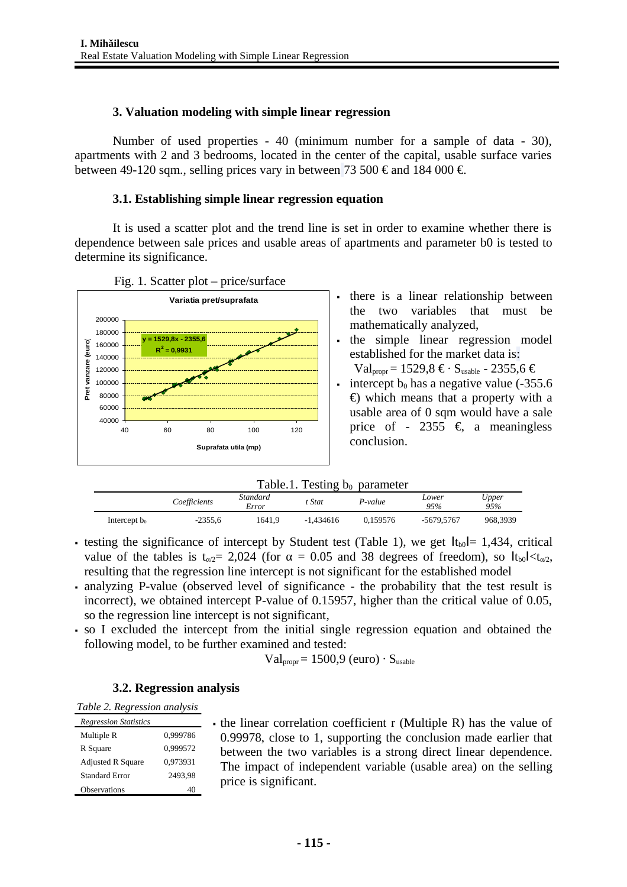## **3. Valuation modeling with simple linear regression**

Number of used properties - 40 (minimum number for a sample of data - 30), apartments with 2 and 3 bedrooms, located in the center of the capital, usable surface varies between 49-120 sqm., selling prices vary in between 73 500  $\epsilon$  and 184 000  $\epsilon$ .

## **3.1. Establishing simple linear regression equation**

It is used a scatter plot and the trend line is set in order to examine whether there is dependence between sale prices and usable areas of apartments and parameter b0 is tested to determine its significance.





- . the simple linear regression model established for the market data is:
- $Val<sub>error</sub> = 1529.8 \t\mathbf{\epsilon} \cdot S<sub>usable</sub>$  2355.6 € intercept  $b_0$  has a negative value (-355.6)  $\epsilon$ ) which means that a property with a usable area of 0 sqm would have a sale price of - 2355  $\epsilon$ , a meaningless conclusion.

|  |  | Table.1. Testing $b_0$ parameter |
|--|--|----------------------------------|
|--|--|----------------------------------|

|                 | Coefficients | Standard<br>Error | : Stat      | P-value  | Lower<br>95% | Upper<br>95% |
|-----------------|--------------|-------------------|-------------|----------|--------------|--------------|
| Intercept $b_0$ | $-2355.6$    | 1641.9            | $-1.434616$ | 0.159576 | -5679,5767   | 968,3939     |

- **testing the significance of intercept by Student test (Table 1), we get**  $|t_{b0}|= 1,434$ **, critical** value of the tables is  $t_{\alpha/2}$ = 2,024 (for  $\alpha$  = 0.05 and 38 degrees of freedom), so  $|t_{\alpha/2}| \lt t_{\alpha/2}$ , resulting that the regression line intercept is not significant for the established model
- analyzing P-value (observed level of significance the probability that the test result is incorrect), we obtained intercept P-value of 0.15957, higher than the critical value of 0.05, so the regression line intercept is not significant,
- so I excluded the intercept from the initial single regression equation and obtained the following model, to be further examined and tested:

$$
Val_{proper} = 1500.9 \ (euro) \cdot S_{usable}
$$

## **3.2. Regression analysis**

*Table 2. Regression analysis*

| <b>Regression Statistics</b> |          |
|------------------------------|----------|
| Multiple R                   | 0,999786 |
| R Square                     | 0,999572 |
| <b>Adjusted R Square</b>     | 0,973931 |
| Standard Error               | 2493.98  |
| <b>Observations</b>          |          |

 the linear correlation coefficient r (Multiple R) has the value of 0.99978, close to 1, supporting the conclusion made earlier that between the two variables is a strong direct linear dependence. The impact of independent variable (usable area) on the selling price is significant.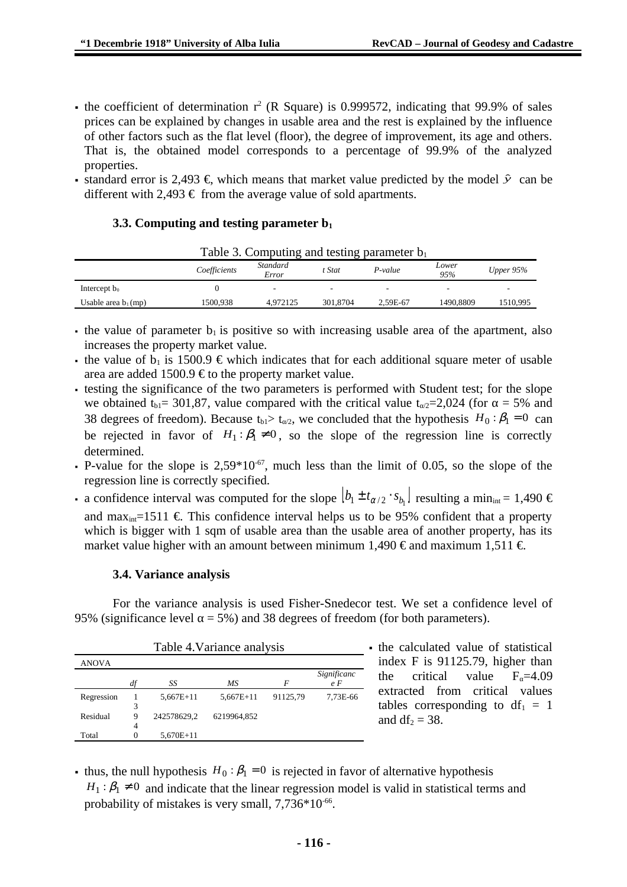- the coefficient of determination  $r^2$  (R Square) is 0.999572, indicating that 99.9% of sales prices can be explained by changes in usable area and the rest is explained by the influence of other factors such as the flat level (floor), the degree of improvement, its age and others. That is, the obtained model corresponds to a percentage of 99.9% of the analyzed properties.
- **•** standard error is 2,493 €, which means that market value predicted by the model  $\hat{y}$  can be different with 2,493  $\epsilon$  from the average value of sold apartments.

#### **3.3. Computing and testing parameter b<sup>1</sup>**

|                        |              | I able 3. Computing and testing parameter b <sub>1</sub> |          |          |              |           |
|------------------------|--------------|----------------------------------------------------------|----------|----------|--------------|-----------|
|                        | Coefficients | Standard<br>Error                                        | t Stat   | P-value  | Lower<br>95% | Upper 95% |
| Intercept $b_0$        |              | $\sim$                                                   | -        | ۰        |              |           |
| Usable area $b_1$ (mp) | 1500.938     | 4.972125                                                 | 301.8704 | 2.59E-67 | 1490.8809    | 1510.995  |

 $Table 2.$  Computing and testing parameter b

- the value of parameter  $b_1$  is positive so with increasing usable area of the apartment, also increases the property market value.
- the value of  $b_1$  is 1500.9  $\epsilon$  which indicates that for each additional square meter of usable area are added 1500.9  $\epsilon$  to the property market value.
- testing the significance of the two parameters is performed with Student test; for the slope we obtained t<sub>b1</sub>= 301,87, value compared with the critical value t<sub> $\alpha$ 2</sub>=2,024 (for  $\alpha$  = 5% and 38 degrees of freedom). Because t<sub>b1</sub>> t<sub> $\alpha$ /2</sub>, we concluded that the hypothesis  $H_0$ :  $\beta_1 = 0$  can be rejected in favor of  $H_1$ : $\beta_1 \neq 0$ , so the slope of the regression line is correctly determined.
- P-value for the slope is  $2,59*10^{-67}$ , much less than the limit of 0.05, so the slope of the regression line is correctly specified.
- $\bullet$  a confidence interval was computed for the slope  $[b_1\pm t_{\alpha/2}\cdot s_{b_1}]$  resulting a min $_{\text{int}}$  = 1,490  $\in$ and max<sub>int</sub>=1511  $\epsilon$ . This confidence interval helps us to be 95% confident that a property which is bigger with 1 sqm of usable area than the usable area of another property, has its market value higher with an amount between minimum 1,490  $\epsilon$  and maximum 1,511  $\epsilon$ .

#### **3.4. Variance analysis**

For the variance analysis is used Fisher-Snedecor test. We set a confidence level of 95% (significance level  $\alpha$  = 5%) and 38 degrees of freedom (for both parameters).

| Table 4. Variance analysis |    |             |             |          |             |
|----------------------------|----|-------------|-------------|----------|-------------|
| ANOVA                      |    |             |             |          |             |
|                            |    |             |             |          | Significanc |
|                            | df | SS          | ΜS          | F        | e F         |
| Regression                 |    | $5.667E+11$ | $5.667E+11$ | 91125.79 | 7.73E-66    |
|                            | 3  |             |             |          |             |
| Residual                   | 9  | 242578629,2 | 6219964,852 |          |             |
|                            | 4  |             |             |          |             |
| Total                      | O  | 5,670E+11   |             |          |             |

the calculated value of statistical index F is 91125.79, higher than the critical value  $F_0$ =4.09 extracted from critical values tables corresponding to  $df_1 = 1$ and  $df_2 = 38$ .

thus, the null hypothesis  $H_0$ :  $\beta_1$  = 0 is rejected in favor of alternative hypothesis  $H_1$ :  $\beta_1 \neq 0$  and indicate that the linear regression model is valid in statistical terms and probability of mistakes is very small,  $7,736*10<sup>-66</sup>$ .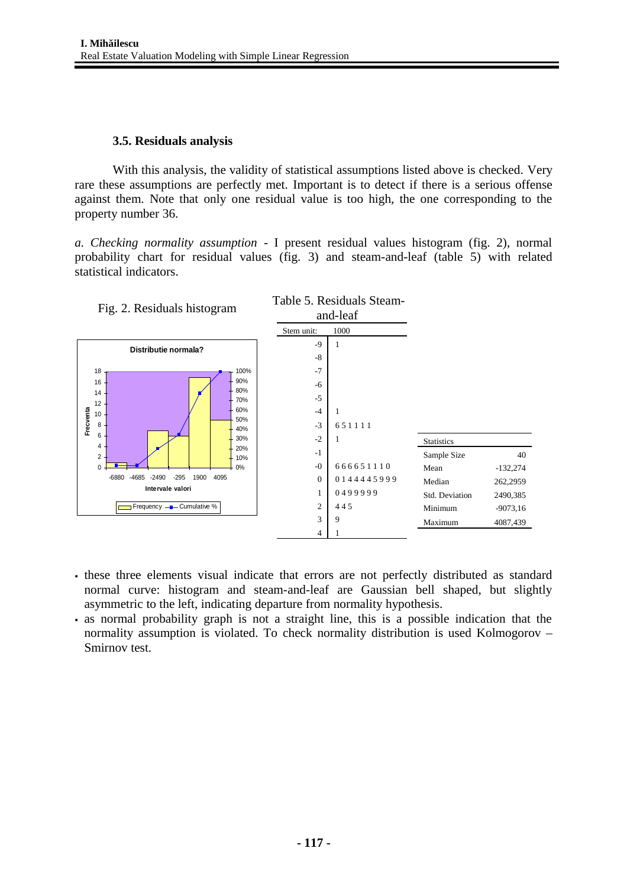#### **3.5. Residuals analysis**

With this analysis, the validity of statistical assumptions listed above is checked. Very rare these assumptions are perfectly met. Important is to detect if there is a serious offense against them. Note that only one residual value is too high, the one corresponding to the property number 36.

*a. Checking normality assumption* - I present residual values histogram (fig. 2), normal probability chart for residual values (fig. 3) and steam-and-leaf (table 5) with related statistical indicators.



- these three elements visual indicate that errors are not perfectly distributed as standard normal curve: histogram and steam-and-leaf are Gaussian bell shaped, but slightly asymmetric to the left, indicating departure from normality hypothesis.
- as normal probability graph is not a straight line, this is a possible indication that the normality assumption is violated. To check normality distribution is used Kolmogorov – Smirnov test.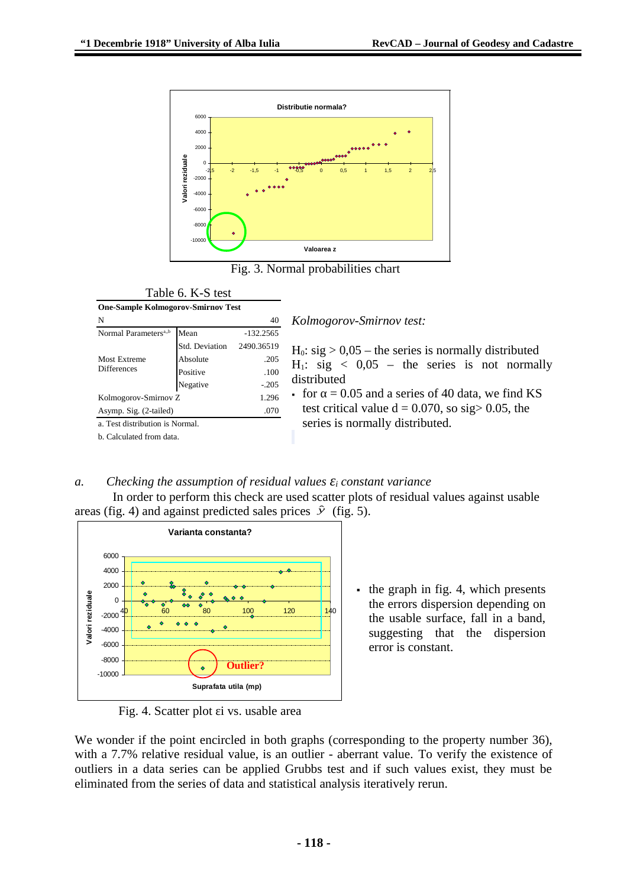

Fig. 3. Normal probabilities chart

#### Table 6. K-S test

| <b>One-Sample Kolmogorov-Smirnov Test</b> |                |            |  |  |
|-------------------------------------------|----------------|------------|--|--|
| N                                         |                | 40         |  |  |
| Normal Parameters <sup>a,,b</sup>         | Mean           |            |  |  |
|                                           | Std. Deviation | 2490.36519 |  |  |
| Most Extreme                              | Absolute       | .205       |  |  |
| <b>Differences</b>                        | Positive       | .100       |  |  |
|                                           | Negative       | $-.205$    |  |  |
| Kolmogorov-Smirnov Z                      | 1.296          |            |  |  |
| Asymp. Sig. (2-tailed)                    | .070           |            |  |  |
| a. Test distribution is Normal.           |                |            |  |  |

b. Calculated from data.

*Kolmogorov-Smirnov test:*

 $H_0$ : sig  $> 0.05$  – the series is normally distributed  $H_1$ : sig < 0,05 – the series is not normally distributed

for  $\alpha$  = 0.05 and a series of 40 data, we find KS test critical value  $d = 0.070$ , so sig > 0.05, the series is normally distributed.

#### *a. Checking the assumption of residual values εi constant variance* In order to perform this check are used scatter plots of residual values against usable areas (fig. 4) and against predicted sales prices  $\hat{y}$  (fig. 5).



 $\cdot$  the graph in fig. 4, which presents the errors dispersion depending on the usable surface, fall in a band, suggesting that the dispersion error is constant.

Fig. 4. Scatter plot εi vs. usable area

We wonder if the point encircled in both graphs (corresponding to the property number 36), with a 7.7% relative residual value, is an outlier - aberrant value. To verify the existence of outliers in a data series can be applied Grubbs test and if such values exist, they must be eliminated from the series of data and statistical analysis iteratively rerun.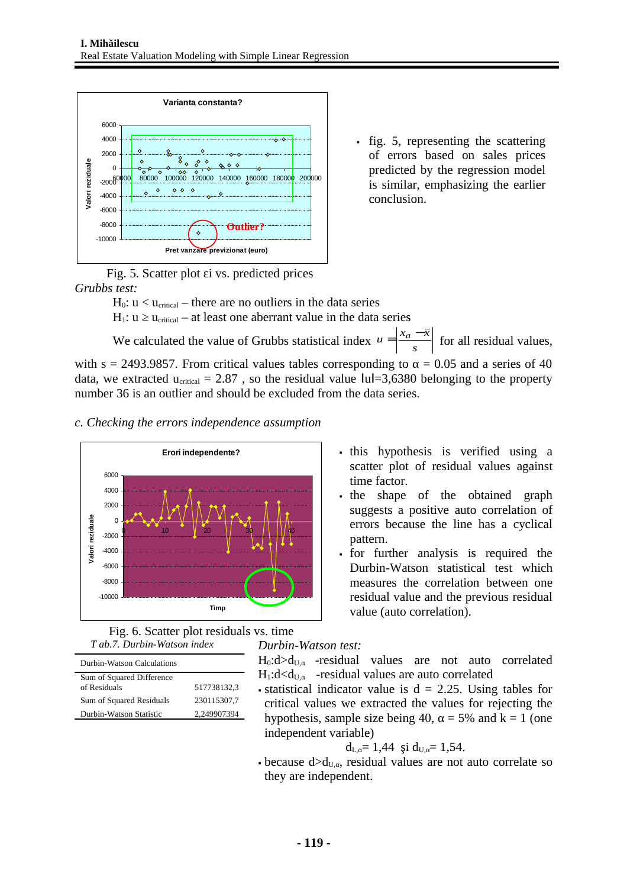

 fig. 5, representing the scattering of errors based on sales prices predicted by the regression model is similar, emphasizing the earlier conclusion.

Fig. 5. Scatter plot εi vs. predicted prices *Grubbs test:*

 $H_0$ :  $u < u_{critical}$  – there are no outliers in the data series

H<sub>1</sub>:  $u \ge u_{critical}$  – at least one aberrant value in the data series

We calculated the value of Grubbs statistical index  $u = \frac{a}{s}$  $u = \left| \frac{x_a - \overline{x}}{a} \right|$  for all residual values, with s = 2493.9857. From critical values tables corresponding to  $\alpha$  = 0.05 and a series of 40 data, we extracted  $u_{critical} = 2.87$ , so the residual value  $|ul=3,6380$  belonging to the property number 36 is an outlier and should be excluded from the data series.

## *c. Checking the errors independence assumption*





| Durbin-Watson Calculations                |             |
|-------------------------------------------|-------------|
| Sum of Squared Difference<br>of Residuals | 517738132.3 |
| Sum of Squared Residuals                  | 230115307.7 |
| Durbin-Watson Statistic                   | 2,249907394 |
|                                           |             |

- . this hypothesis is verified using a scatter plot of residual values against time factor.
- the shape of the obtained graph suggests a positive auto correlation of errors because the line has a cyclical pattern.
- for further analysis is required the Durbin-Watson statistical test which measures the correlation between one residual value and the previous residual value (auto correlation).

 $H_0: d>d_{U,\alpha}$  -residual values are not auto correlated  $H_1: d \leq d_{U,\alpha}$  -residual values are auto correlated

 $\bullet$  statistical indicator value is d = 2.25. Using tables for critical values we extracted the values for rejecting the hypothesis, sample size being 40,  $\alpha$  = 5% and k = 1 (one independent variable)

$$
d_{L,\alpha} = 1{,}44 \text{ și } d_{U,\alpha} = 1{,}54.
$$

because  $d>d_{U,\alpha}$ , residual values are not auto correlate so they are independent.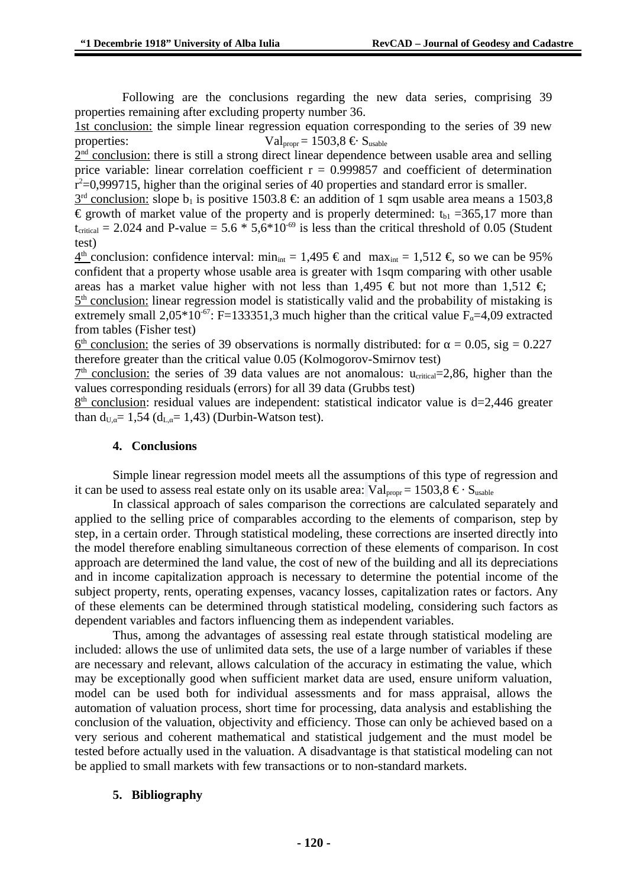Following are the conclusions regarding the new data series, comprising 39 properties remaining after excluding property number 36.

1st conclusion: the simple linear regression equation corresponding to the series of 39 new properties:  $Val_{\text{proper}} = 1503.8 \epsilon \epsilon$  S<sub>usable</sub>

2<sup>nd</sup> conclusion: there is still a strong direct linear dependence between usable area and selling price variable: linear correlation coefficient  $r = 0.999857$  and coefficient of determination  $r^2$ =0,999715, higher than the original series of 40 properties and standard error is smaller.

 $3<sup>rd</sup>$  conclusion: slope b<sub>1</sub> is positive 1503.8 €: an addition of 1 sqm usable area means a 1503,8 € growth of market value of the property and is properly determined:  $t_{b1}$  =365,17 more than  $t_{critical}$  = 2.024 and P-value = 5.6  $*$  5,6 $*10^{-69}$  is less than the critical threshold of 0.05 (Student test)

 $4<sup>th</sup>$  conclusion: confidence interval: min<sub>int</sub> = 1,495 € and max<sub>int</sub> = 1,512 €, so we can be 95% confident that a property whose usable area is greater with 1sqm comparing with other usable areas has a market value higher with not less than 1,495  $\epsilon$  but not more than 1,512  $\epsilon$ ;

 $5<sup>th</sup>$  conclusion: linear regression model is statistically valid and the probability of mistaking is extremely small 2,05\*10<sup>-67</sup>: F=133351,3 much higher than the critical value  $F_a$ =4,09 extracted from tables (Fisher test)

 $6<sup>th</sup>$  conclusion: the series of 39 observations is normally distributed: for α = 0.05, sig = 0.227 therefore greater than the critical value 0.05 (Kolmogorov-Smirnov test)

 $7<sup>th</sup>$  conclusion: the series of 39 data values are not anomalous:  $u_{critical} = 2,86$ , higher than the values corresponding residuals (errors) for all 39 data (Grubbs test)

 $8<sup>th</sup>$  conclusion: residual values are independent: statistical indicator value is d=2,446 greater than  $d_{U,\alpha}$ = 1,54 ( $d_{L,\alpha}$ = 1,43) (Durbin-Watson test).

#### **4. Conclusions**

Simple linear regression model meets all the assumptions of this type of regression and it can be used to assess real estate only on its usable area:  $Val_{\text{proper}} = 1503.8 \epsilon \cdot S_{\text{inside}}$ 

In classical approach of sales comparison the corrections are calculated separately and applied to the selling price of comparables according to the elements of comparison, step by step, in a certain order. Through statistical modeling, these corrections are inserted directly into the model therefore enabling simultaneous correction of these elements of comparison. In cost approach are determined the land value, the cost of new of the building and all its depreciations and in income capitalization approach is necessary to determine the potential income of the subject property, rents, operating expenses, vacancy losses, capitalization rates or factors. Any of these elements can be determined through statistical modeling, considering such factors as dependent variables and factors influencing them as independent variables.

Thus, among the advantages of assessing real estate through statistical modeling are included: allows the use of unlimited data sets, the use of a large number of variables if these are necessary and relevant, allows calculation of the accuracy in estimating the value, which may be exceptionally good when sufficient market data are used, ensure uniform valuation, model can be used both for individual assessments and for mass appraisal, allows the automation of valuation process, short time for processing, data analysis and establishing the conclusion of the valuation, objectivity and efficiency. Those can only be achieved based on a very serious and coherent mathematical and statistical judgement and the must model be tested before actually used in the valuation. A disadvantage is that statistical modeling can not be applied to small markets with few transactions or to non-standard markets.

## **5. Bibliography**